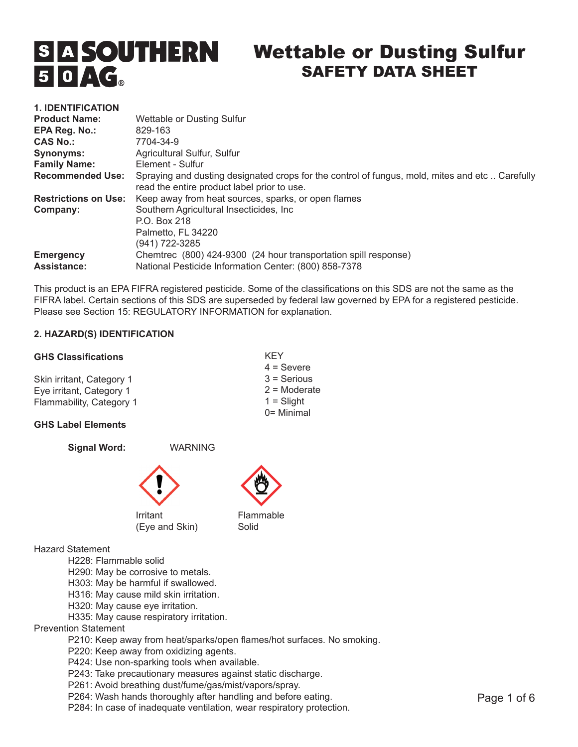# $50AG$

# **S A SOUTHERN** Wettable or Dusting Sulfur SAFETY DATA SHEET

| <b>1. IDENTIFICATION</b>    |                                                                                                                                               |
|-----------------------------|-----------------------------------------------------------------------------------------------------------------------------------------------|
| <b>Product Name:</b>        | Wettable or Dusting Sulfur                                                                                                                    |
| EPA Reg. No.:               | 829-163                                                                                                                                       |
| <b>CAS No.:</b>             | 7704-34-9                                                                                                                                     |
| Synonyms:                   | Agricultural Sulfur, Sulfur                                                                                                                   |
| <b>Family Name:</b>         | Element - Sulfur                                                                                                                              |
| <b>Recommended Use:</b>     | Spraying and dusting designated crops for the control of fungus, mold, mites and etc Carefully<br>read the entire product label prior to use. |
| <b>Restrictions on Use:</b> | Keep away from heat sources, sparks, or open flames                                                                                           |
| Company:                    | Southern Agricultural Insecticides, Inc.                                                                                                      |
|                             | P.O. Box 218<br>Palmetto. FL 34220                                                                                                            |
|                             | (941) 722-3285                                                                                                                                |
| <b>Emergency</b>            | Chemirec (800) 424-9300 (24 hour transportation spill response)                                                                               |
| <b>Assistance:</b>          | National Pesticide Information Center: (800) 858-7378                                                                                         |

This product is an EPA FIFRA registered pesticide. Some of the classifications on this SDS are not the same as the FIFRA label. Certain sections of this SDS are superseded by federal law governed by EPA for a registered pesticide. Please see Section 15: REGULATORY INFORMATION for explanation.

> KEY 4 = Severe 3 = Serious 2 = Moderate  $1 =$ Slight 0= Minimal

# **2. HAZARD(S) IDENTIFICATION**

#### **GHS Classifications**

Skin irritant, Category 1 Eye irritant, Category 1 Flammability, Category 1

# **GHS Label Elements**



P284: In case of inadequate ventilation, wear respiratory protection.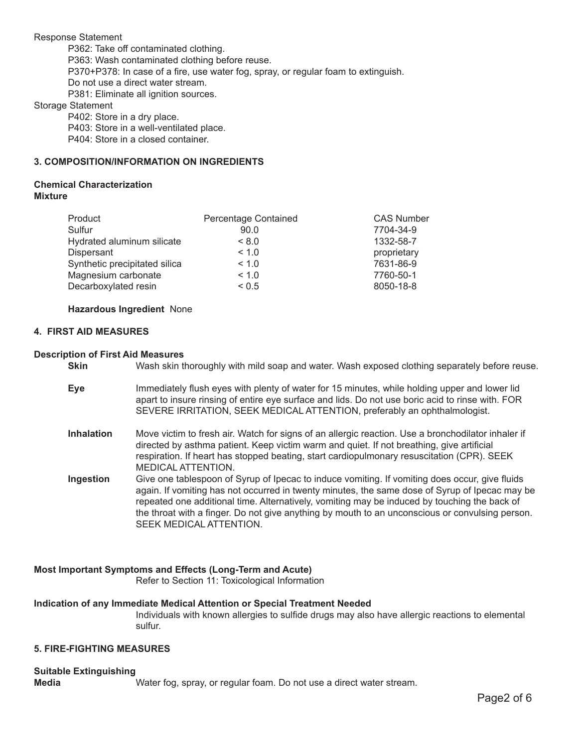Response Statement P362: Take off contaminated clothing. P363: Wash contaminated clothing before reuse. P370+P378: In case of a fire, use water fog, spray, or regular foam to extinguish. Do not use a direct water stream. P381: Eliminate all ignition sources.

Storage Statement

P402: Store in a dry place. P403: Store in a well-ventilated place.

P404: Store in a closed container.

# **3. COMPOSITION/INFORMATION ON INGREDIENTS**

# **Chemical Characterization Mixture**

| Product                       | Percentage Contained | <b>CAS Number</b> |
|-------------------------------|----------------------|-------------------|
| Sulfur                        | 90.0                 | 7704-34-9         |
| Hydrated aluminum silicate    | < 8.0                | 1332-58-7         |
| Dispersant                    | < 1.0                | proprietary       |
| Synthetic precipitated silica | < 1.0                | 7631-86-9         |
| Magnesium carbonate           | < 1.0                | 7760-50-1         |
| Decarboxylated resin          | ${}_{0.5}$           | 8050-18-8         |

#### **Hazardous Ingredient** None

# **4. FIRST AID MEASURES**

#### **Description of First Aid Measures**

**Skin** Wash skin thoroughly with mild soap and water. Wash exposed clothing separately before reuse.

- **Eye** Immediately flush eyes with plenty of water for 15 minutes, while holding upper and lower lid apart to insure rinsing of entire eye surface and lids. Do not use boric acid to rinse with. FOR SEVERE IRRITATION, SEEK MEDICAL ATTENTION, preferably an ophthalmologist.
- **Inhalation** Move victim to fresh air. Watch for signs of an allergic reaction. Use a bronchodilator inhaler if directed by asthma patient. Keep victim warm and quiet. If not breathing, give artificial respiration. If heart has stopped beating, start cardiopulmonary resuscitation (CPR). SEEK MEDICAL ATTENTION.
- **Ingestion** Give one tablespoon of Syrup of Ipecac to induce vomiting. If vomiting does occur, give fluids again. If vomiting has not occurred in twenty minutes, the same dose of Syrup of Ipecac may be repeated one additional time. Alternatively, vomiting may be induced by touching the back of the throat with a finger. Do not give anything by mouth to an unconscious or convulsing person. SEEK MEDICAL ATTENTION.

# **Most Important Symptoms and Effects (Long-Term and Acute)**

Refer to Section 11: Toxicological Information

#### **Indication of any Immediate Medical Attention or Special Treatment Needed**

Individuals with known allergies to sulfide drugs may also have allergic reactions to elemental sulfur.

#### **5. FIRE-FIGHTING MEASURES**

#### **Suitable Extinguishing**

**Media** Water fog, spray, or regular foam. Do not use a direct water stream.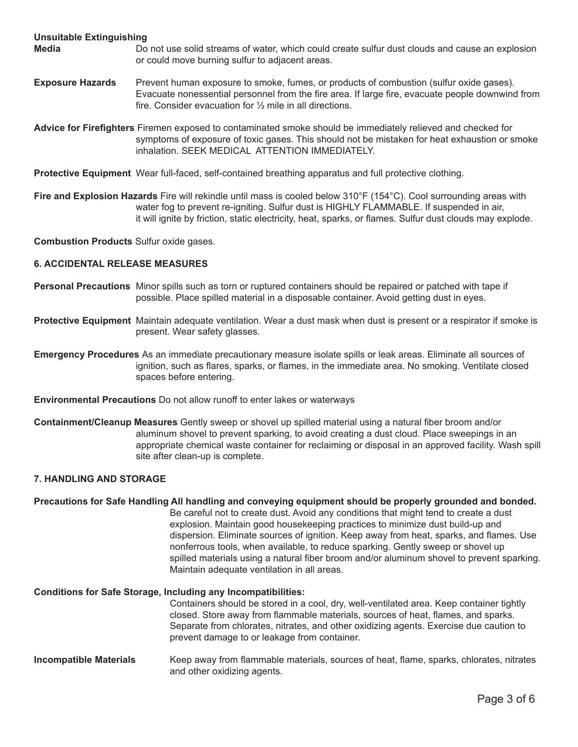#### **Unsuitable Extinguishing**

- **Media** Do not use solid streams of water, which could create sulfur dust clouds and cause an explosion or could move burning sulfur to adjacent areas.
- **Exposure Hazards** Prevent human exposure to smoke, fumes, or products of combustion (sulfur oxide gases). Evacuate nonessential personnel from the fire area. If large fire, evacuate people downwind from fire. Consider evacuation for ½ mile in all directions.

**Advice for Firefighters** Firemen exposed to contaminated smoke should be immediately relieved and checked for symptoms of exposure of toxic gases. This should not be mistaken for heat exhaustion or smoke inhalation. SEEK MEDICAL ATTENTION IMMEDIATELY.

**Protective Equipment** Wear full-faced, self-contained breathing apparatus and full protective clothing.

**Fire and Explosion Hazards** Fire will rekindle until mass is cooled below 310°F (154°C). Cool surrounding areas with water fog to prevent re-igniting. Sulfur dust is HIGHLY FLAMMABLE. If suspended in air, it will ignite by friction, static electricity, heat, sparks, or flames. Sulfur dust clouds may explode.

**Combustion Products** Sulfur oxide gases.

#### **6. ACCIDENTAL RELEASE MEASURES**

- **Personal Precautions** Minor spills such as torn or ruptured containers should be repaired or patched with tape if possible. Place spilled material in a disposable container. Avoid getting dust in eyes.
- **Protective Equipment** Maintain adequate ventilation. Wear a dust mask when dust is present or a respirator if smoke is present. Wear safety glasses.

**Emergency Procedures** As an immediate precautionary measure isolate spills or leak areas. Eliminate all sources of ignition, such as flares, sparks, or flames, in the immediate area. No smoking. Ventilate closed spaces before entering.

**Environmental Precautions** Do not allow runoff to enter lakes or waterways

**Containment/Cleanup Measures** Gently sweep or shovel up spilled material using a natural fiber broom and/or aluminum shovel to prevent sparking, to avoid creating a dust cloud. Place sweepings in an appropriate chemical waste container for reclaiming or disposal in an approved facility. Wash spill site after clean-up is complete.

#### **7. HANDLING AND STORAGE**

#### **Precautions for Safe Handling All handling and conveying equipment should be properly grounded and bonded.**

Be careful not to create dust. Avoid any conditions that might tend to create a dust explosion. Maintain good housekeeping practices to minimize dust build-up and dispersion. Eliminate sources of ignition. Keep away from heat, sparks, and flames. Use nonferrous tools, when available, to reduce sparking. Gently sweep or shovel up spilled materials using a natural fiber broom and/or aluminum shovel to prevent sparking. Maintain adequate ventilation in all areas.

# **Conditions for Safe Storage, Including any Incompatibilities:**

Containers should be stored in a cool, dry, well-ventilated area. Keep container tightly closed. Store away from flammable materials, sources of heat, flames, and sparks. Separate from chlorates, nitrates, and other oxidizing agents. Exercise due caution to prevent damage to or leakage from container.

**Incompatible Materials** Keep away from flammable materials, sources of heat, flame, sparks, chlorates, nitrates and other oxidizing agents.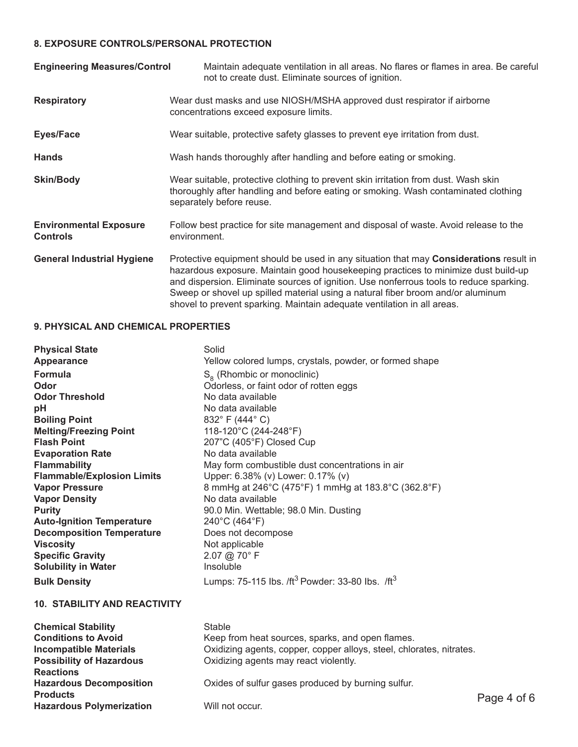# **8. EXPOSURE CONTROLS/PERSONAL PROTECTION**

| <b>Engineering Measures/Control</b>              | Maintain adequate ventilation in all areas. No flares or flames in area. Be careful<br>not to create dust. Eliminate sources of ignition.                                                                                                                                                                                                                                                                                                    |
|--------------------------------------------------|----------------------------------------------------------------------------------------------------------------------------------------------------------------------------------------------------------------------------------------------------------------------------------------------------------------------------------------------------------------------------------------------------------------------------------------------|
| <b>Respiratory</b>                               | Wear dust masks and use NIOSH/MSHA approved dust respirator if airborne<br>concentrations exceed exposure limits.                                                                                                                                                                                                                                                                                                                            |
| <b>Eyes/Face</b>                                 | Wear suitable, protective safety glasses to prevent eye irritation from dust.                                                                                                                                                                                                                                                                                                                                                                |
| <b>Hands</b>                                     | Wash hands thoroughly after handling and before eating or smoking.                                                                                                                                                                                                                                                                                                                                                                           |
| <b>Skin/Body</b>                                 | Wear suitable, protective clothing to prevent skin irritation from dust. Wash skin<br>thoroughly after handling and before eating or smoking. Wash contaminated clothing<br>separately before reuse.                                                                                                                                                                                                                                         |
| <b>Environmental Exposure</b><br><b>Controls</b> | Follow best practice for site management and disposal of waste. Avoid release to the<br>environment.                                                                                                                                                                                                                                                                                                                                         |
| <b>General Industrial Hygiene</b>                | Protective equipment should be used in any situation that may <b>Considerations</b> result in<br>hazardous exposure. Maintain good housekeeping practices to minimize dust build-up<br>and dispersion. Eliminate sources of ignition. Use nonferrous tools to reduce sparking.<br>Sweep or shovel up spilled material using a natural fiber broom and/or aluminum<br>shovel to prevent sparking. Maintain adequate ventilation in all areas. |

# **9. PHYSICAL AND CHEMICAL PROPERTIES**

| <b>Physical State</b><br>Appearance | Solid<br>Yellow colored lumps, crystals, powder, or formed shape        |
|-------------------------------------|-------------------------------------------------------------------------|
| <b>Formula</b>                      | $Sa$ (Rhombic or monoclinic)                                            |
| Odor                                | Odorless, or faint odor of rotten eggs                                  |
| <b>Odor Threshold</b>               | No data available                                                       |
| рH                                  | No data available                                                       |
| <b>Boiling Point</b>                | 832° F (444° C)                                                         |
| <b>Melting/Freezing Point</b>       | 118-120°C (244-248°F)                                                   |
| <b>Flash Point</b>                  | 207"C (405°F) Closed Cup                                                |
| <b>Evaporation Rate</b>             | No data available                                                       |
| <b>Flammability</b>                 | May form combustible dust concentrations in air                         |
| <b>Flammable/Explosion Limits</b>   | Upper: 6.38% (v) Lower: 0.17% (v)                                       |
| <b>Vapor Pressure</b>               | 8 mmHg at 246°C (475°F) 1 mmHg at 183.8°C (362.8°F)                     |
| <b>Vapor Density</b>                | No data available                                                       |
| <b>Purity</b>                       | 90.0 Min. Wettable; 98.0 Min. Dusting                                   |
| <b>Auto-Ignition Temperature</b>    | 240°C (464°F)                                                           |
| <b>Decomposition Temperature</b>    | Does not decompose                                                      |
| <b>Viscosity</b>                    | Not applicable                                                          |
| <b>Specific Gravity</b>             | $2.07$ @ 70 $^{\circ}$ F                                                |
| <b>Solubility in Water</b>          | Insoluble                                                               |
| <b>Bulk Density</b>                 | Lumps: 75-115 lbs. /ft <sup>3</sup> Powder: 33-80 lbs. /ft <sup>3</sup> |

# **10. STABILITY AND REACTIVITY**

| <b>Chemical Stability</b>       | <b>Stable</b>                                                        |             |
|---------------------------------|----------------------------------------------------------------------|-------------|
| <b>Conditions to Avoid</b>      | Keep from heat sources, sparks, and open flames.                     |             |
| <b>Incompatible Materials</b>   | Oxidizing agents, copper, copper alloys, steel, chlorates, nitrates. |             |
| <b>Possibility of Hazardous</b> | Oxidizing agents may react violently.                                |             |
| <b>Reactions</b>                |                                                                      |             |
| <b>Hazardous Decomposition</b>  | Oxides of sulfur gases produced by burning sulfur.                   |             |
| <b>Products</b>                 |                                                                      | Page 4 of 6 |
| <b>Hazardous Polymerization</b> | Will not occur.                                                      |             |
|                                 |                                                                      |             |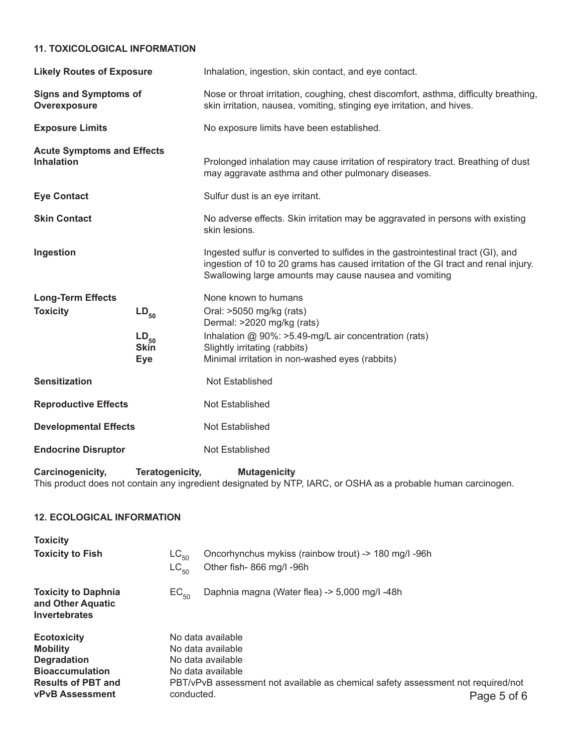# **11. TOXICOLOGICAL INFORMATION**

| <b>Likely Routes of Exposure</b>                       |                                                     | Inhalation, ingestion, skin contact, and eye contact.                                                                                                                                                                             |  |  |
|--------------------------------------------------------|-----------------------------------------------------|-----------------------------------------------------------------------------------------------------------------------------------------------------------------------------------------------------------------------------------|--|--|
| <b>Signs and Symptoms of</b><br>Overexposure           |                                                     | Nose or throat irritation, coughing, chest discomfort, asthma, difficulty breathing,<br>skin irritation, nausea, vomiting, stinging eye irritation, and hives.                                                                    |  |  |
| <b>Exposure Limits</b>                                 |                                                     | No exposure limits have been established.                                                                                                                                                                                         |  |  |
| <b>Acute Symptoms and Effects</b><br><b>Inhalation</b> |                                                     | Prolonged inhalation may cause irritation of respiratory tract. Breathing of dust<br>may aggravate asthma and other pulmonary diseases.                                                                                           |  |  |
| <b>Eye Contact</b>                                     |                                                     | Sulfur dust is an eye irritant.                                                                                                                                                                                                   |  |  |
| <b>Skin Contact</b>                                    |                                                     | No adverse effects. Skin irritation may be aggravated in persons with existing<br>skin lesions.                                                                                                                                   |  |  |
| Ingestion                                              |                                                     | Ingested sulfur is converted to sulfides in the gastrointestinal tract (GI), and<br>ingestion of 10 to 20 grams has caused irritation of the GI tract and renal injury.<br>Swallowing large amounts may cause nausea and vomiting |  |  |
| <b>Long-Term Effects</b>                               |                                                     | None known to humans                                                                                                                                                                                                              |  |  |
| <b>Toxicity</b>                                        | $LD_{50}$<br>$LD_{50}$<br><b>Skin</b><br><b>Eye</b> | Oral: >5050 mg/kg (rats)<br>Dermal: >2020 mg/kg (rats)<br>Inhalation @ 90%: >5.49-mg/L air concentration (rats)<br>Slightly irritating (rabbits)<br>Minimal irritation in non-washed eyes (rabbits)                               |  |  |
| <b>Sensitization</b>                                   |                                                     | Not Established                                                                                                                                                                                                                   |  |  |
| <b>Reproductive Effects</b>                            |                                                     | Not Established                                                                                                                                                                                                                   |  |  |
| <b>Developmental Effects</b>                           |                                                     | Not Established                                                                                                                                                                                                                   |  |  |
| <b>Endocrine Disruptor</b>                             |                                                     | Not Established                                                                                                                                                                                                                   |  |  |

**Carcinogenicity, Teratogenicity, Mutagenicity** This product does not contain any ingredient designated by NTP, IARC, or OSHA as a probable human carcinogen.

| <b>12. ECOLOGICAL INFORMATION</b>                                                     |                        |                                                                                  |             |
|---------------------------------------------------------------------------------------|------------------------|----------------------------------------------------------------------------------|-------------|
| <b>Toxicity</b>                                                                       |                        |                                                                                  |             |
| <b>Toxicity to Fish</b>                                                               | $LC_{50}$<br>$LC_{50}$ | Oncorhynchus mykiss (rainbow trout) -> 180 mg/l -96h<br>Other fish-866 mg/l-96h  |             |
| <b>Toxicity to Daphnia</b><br>and Other Aquatic<br><b>Invertebrates</b>               | $EC_{50}$              | Daphnia magna (Water flea) -> 5,000 mg/l -48h                                    |             |
| <b>Ecotoxicity</b><br><b>Mobility</b><br><b>Degradation</b><br><b>Bioaccumulation</b> |                        | No data available<br>No data available<br>No data available<br>No data available |             |
| <b>Results of PBT and</b><br><b>vPvB Assessment</b>                                   | conducted.             | PBT/vPvB assessment not available as chemical safety assessment not required/not | Page 5 of 6 |